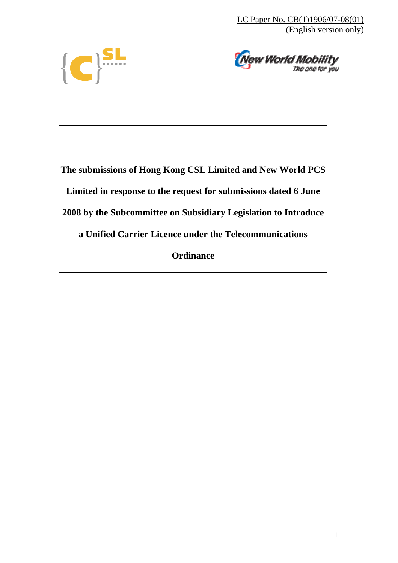LC Paper No. CB(1)1906/07-08(01) (English version only)





**The submissions of Hong Kong CSL Limited and New World PCS Limited in response to the request for submissions dated 6 June 2008 by the Subcommittee on Subsidiary Legislation to Introduce a Unified Carrier Licence under the Telecommunications Ordinance**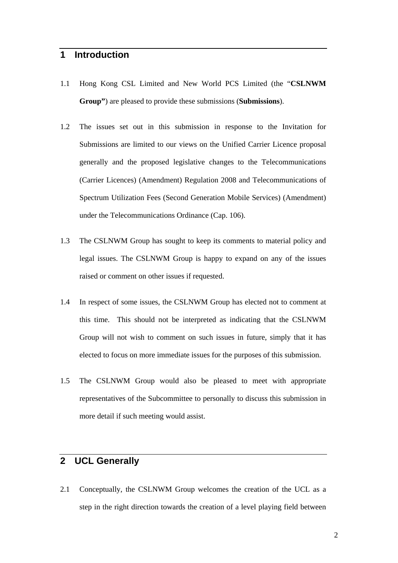## **1 Introduction**

- 1.1 Hong Kong CSL Limited and New World PCS Limited (the "**CSLNWM Group"**) are pleased to provide these submissions (**Submissions**).
- 1.2 The issues set out in this submission in response to the Invitation for Submissions are limited to our views on the Unified Carrier Licence proposal generally and the proposed legislative changes to the Telecommunications (Carrier Licences) (Amendment) Regulation 2008 and Telecommunications of Spectrum Utilization Fees (Second Generation Mobile Services) (Amendment) under the Telecommunications Ordinance (Cap. 106).
- 1.3 The CSLNWM Group has sought to keep its comments to material policy and legal issues. The CSLNWM Group is happy to expand on any of the issues raised or comment on other issues if requested.
- 1.4 In respect of some issues, the CSLNWM Group has elected not to comment at this time. This should not be interpreted as indicating that the CSLNWM Group will not wish to comment on such issues in future, simply that it has elected to focus on more immediate issues for the purposes of this submission.
- 1.5 The CSLNWM Group would also be pleased to meet with appropriate representatives of the Subcommittee to personally to discuss this submission in more detail if such meeting would assist.

## **2 UCL Generally**

2.1 Conceptually, the CSLNWM Group welcomes the creation of the UCL as a step in the right direction towards the creation of a level playing field between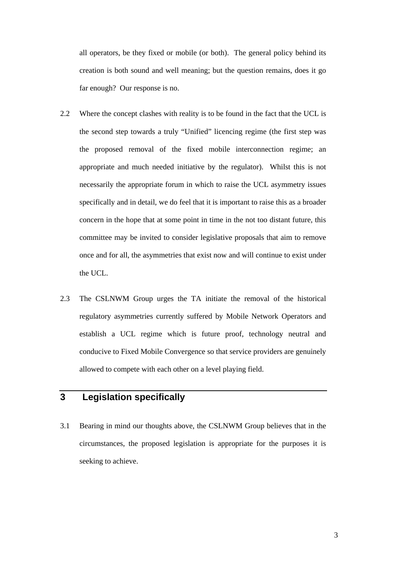all operators, be they fixed or mobile (or both). The general policy behind its creation is both sound and well meaning; but the question remains, does it go far enough? Our response is no.

- 2.2 Where the concept clashes with reality is to be found in the fact that the UCL is the second step towards a truly "Unified" licencing regime (the first step was the proposed removal of the fixed mobile interconnection regime; an appropriate and much needed initiative by the regulator). Whilst this is not necessarily the appropriate forum in which to raise the UCL asymmetry issues specifically and in detail, we do feel that it is important to raise this as a broader concern in the hope that at some point in time in the not too distant future, this committee may be invited to consider legislative proposals that aim to remove once and for all, the asymmetries that exist now and will continue to exist under the UCL.
- 2.3 The CSLNWM Group urges the TA initiate the removal of the historical regulatory asymmetries currently suffered by Mobile Network Operators and establish a UCL regime which is future proof, technology neutral and conducive to Fixed Mobile Convergence so that service providers are genuinely allowed to compete with each other on a level playing field.

## **3 Legislation specifically**

3.1 Bearing in mind our thoughts above, the CSLNWM Group believes that in the circumstances, the proposed legislation is appropriate for the purposes it is seeking to achieve.